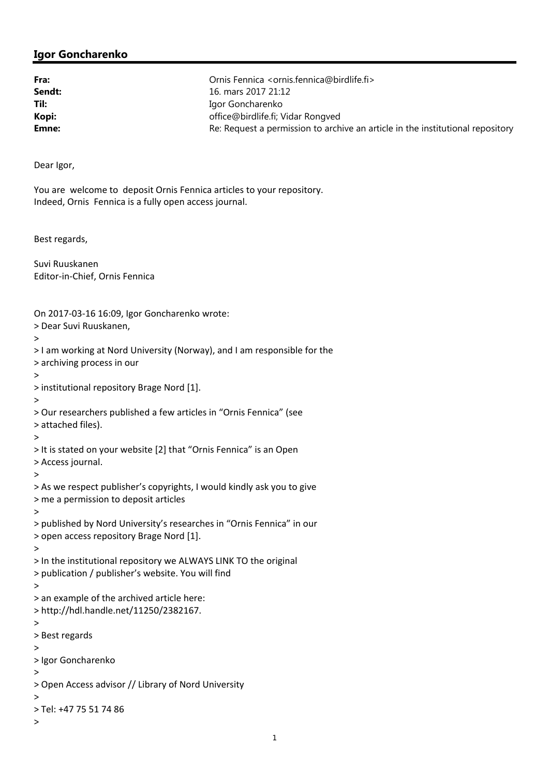## **Igor Goncharenko**

| Fra:   | Ornis Fennica <ornis.fennica@birdlife.fi></ornis.fennica@birdlife.fi>          |
|--------|--------------------------------------------------------------------------------|
| Sendt: | 16. mars 2017 21:12                                                            |
| Til:   | Igor Goncharenko                                                               |
| Kopi:  | office@birdlife.fi; Vidar Rongved                                              |
| Emne:  | Re: Request a permission to archive an article in the institutional repository |

Dear Igor,

You are welcome to deposit Ornis Fennica articles to your repository. Indeed, Ornis Fennica is a fully open access journal.

Best regards,

Suvi Ruuskanen Editor‐in‐Chief, Ornis Fennica

## On 2017‐03‐16 16:09, Igor Goncharenko wrote:

> Dear Suvi Ruuskanen,

```
>
```

```
> I am working at Nord University (Norway), and I am responsible for the  
> archiving process in our
>  
> institutional repository Brage Nord [1].
>  
> Our researchers published a few articles in "Ornis Fennica" (see  
> attached files).
>  
> It is stated on your website [2] that "Ornis Fennica" is an Open  
> Access journal.
>  
> As we respect publisher's copyrights, I would kindly ask you to give  
> me a permission to deposit articles
>  
> published by Nord University's researches in "Ornis Fennica" in our  
> open access repository Brage Nord [1].
>  
> In the institutional repository we ALWAYS LINK TO the original  
> publication / publisher's website. You will find
>  
> an example of the archived article here:
> http://hdl.handle.net/11250/2382167.
>  
> Best regards
>  
> Igor Goncharenko
>  
> Open Access advisor // Library of Nord University
>  
> Tel: +47 75 51 74 86
>
```